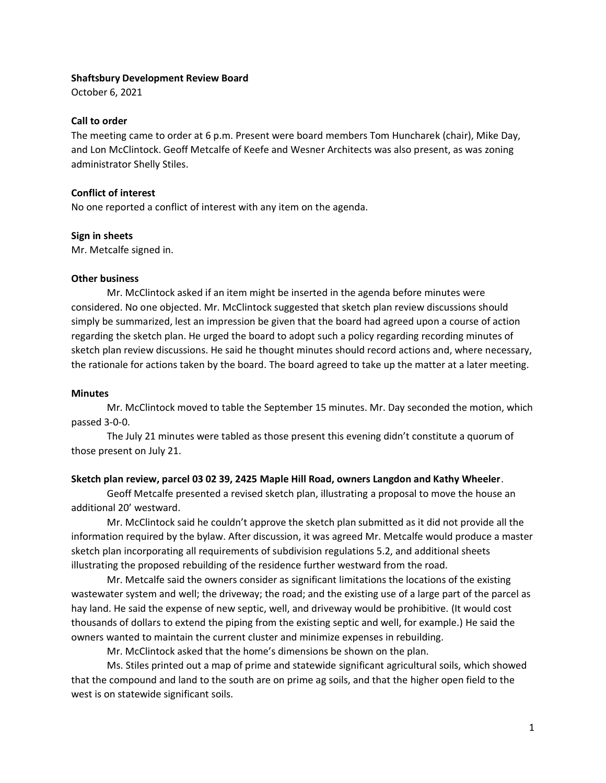#### **Shaftsbury Development Review Board**

October 6, 2021

# **Call to order**

The meeting came to order at 6 p.m. Present were board members Tom Huncharek (chair), Mike Day, and Lon McClintock. Geoff Metcalfe of Keefe and Wesner Architects was also present, as was zoning administrator Shelly Stiles.

# **Conflict of interest**

No one reported a conflict of interest with any item on the agenda.

### **Sign in sheets**

Mr. Metcalfe signed in.

### **Other business**

Mr. McClintock asked if an item might be inserted in the agenda before minutes were considered. No one objected. Mr. McClintock suggested that sketch plan review discussions should simply be summarized, lest an impression be given that the board had agreed upon a course of action regarding the sketch plan. He urged the board to adopt such a policy regarding recording minutes of sketch plan review discussions. He said he thought minutes should record actions and, where necessary, the rationale for actions taken by the board. The board agreed to take up the matter at a later meeting.

### **Minutes**

Mr. McClintock moved to table the September 15 minutes. Mr. Day seconded the motion, which passed 3-0-0.

The July 21 minutes were tabled as those present this evening didn't constitute a quorum of those present on July 21.

# **Sketch plan review, parcel 03 02 39, 2425 Maple Hill Road, owners Langdon and Kathy Wheeler**.

Geoff Metcalfe presented a revised sketch plan, illustrating a proposal to move the house an additional 20' westward.

Mr. McClintock said he couldn't approve the sketch plan submitted as it did not provide all the information required by the bylaw. After discussion, it was agreed Mr. Metcalfe would produce a master sketch plan incorporating all requirements of subdivision regulations 5.2, and additional sheets illustrating the proposed rebuilding of the residence further westward from the road.

Mr. Metcalfe said the owners consider as significant limitations the locations of the existing wastewater system and well; the driveway; the road; and the existing use of a large part of the parcel as hay land. He said the expense of new septic, well, and driveway would be prohibitive. (It would cost thousands of dollars to extend the piping from the existing septic and well, for example.) He said the owners wanted to maintain the current cluster and minimize expenses in rebuilding.

Mr. McClintock asked that the home's dimensions be shown on the plan.

Ms. Stiles printed out a map of prime and statewide significant agricultural soils, which showed that the compound and land to the south are on prime ag soils, and that the higher open field to the west is on statewide significant soils.